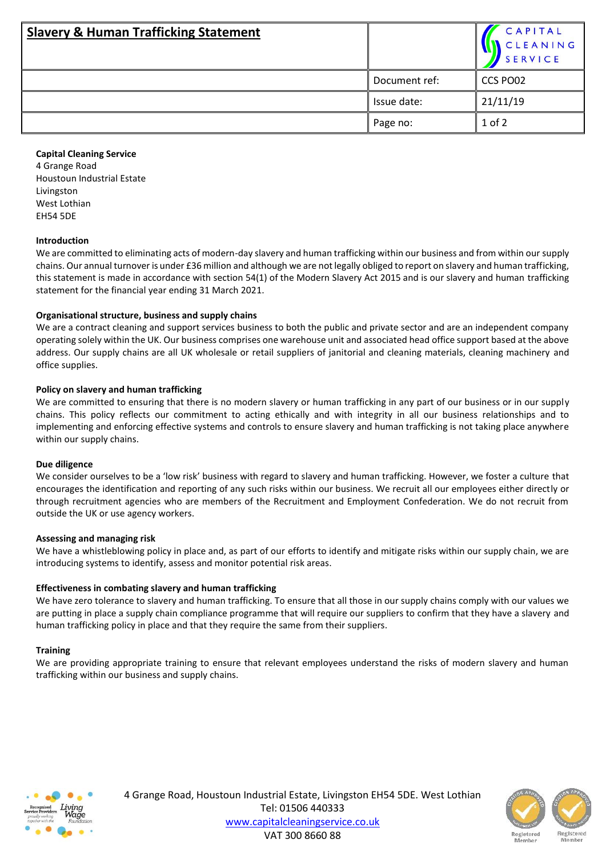| <b>Slavery &amp; Human Trafficking Statement</b> |               | CAPITAL<br>CLEANING<br><b>SERVICE</b> |
|--------------------------------------------------|---------------|---------------------------------------|
|                                                  | Document ref: | CCS PO02                              |
|                                                  | Issue date:   | 21/11/19                              |
|                                                  | Page no:      | $1$ of $2$                            |

## **Capital Cleaning Service**

4 Grange Road Houstoun Industrial Estate Livingston West Lothian EH54 5DE

### **Introduction**

We are committed to eliminating acts of modern-day slavery and human trafficking within our business and from within our supply chains. Our annual turnover is under £36 million and although we are not legally obliged to report on slavery and human trafficking, this statement is made in accordance with section 54(1) of the Modern Slavery Act 2015 and is our slavery and human trafficking statement for the financial year ending 31 March 2021.

### **Organisational structure, business and supply chains**

We are a contract cleaning and support services business to both the public and private sector and are an independent company operating solely within the UK. Our business comprises one warehouse unit and associated head office support based at the above address. Our supply chains are all UK wholesale or retail suppliers of janitorial and cleaning materials, cleaning machinery and office supplies.

### **Policy on slavery and human trafficking**

We are committed to ensuring that there is no modern slavery or human trafficking in any part of our business or in our supply chains. This policy reflects our commitment to acting ethically and with integrity in all our business relationships and to implementing and enforcing effective systems and controls to ensure slavery and human trafficking is not taking place anywhere within our supply chains.

#### **Due diligence**

We consider ourselves to be a 'low risk' business with regard to slavery and human trafficking. However, we foster a culture that encourages the identification and reporting of any such risks within our business. We recruit all our employees either directly or through recruitment agencies who are members of the Recruitment and Employment Confederation. We do not recruit from outside the UK or use agency workers.

#### **Assessing and managing risk**

We have a whistleblowing policy in place and, as part of our efforts to identify and mitigate risks within our supply chain, we are introducing systems to identify, assess and monitor potential risk areas.

# **Effectiveness in combating slavery and human trafficking**

We have zero tolerance to slavery and human trafficking. To ensure that all those in our supply chains comply with our values we are putting in place a supply chain compliance programme that will require our suppliers to confirm that they have a slavery and human trafficking policy in place and that they require the same from their suppliers.

#### **Training**

We are providing appropriate training to ensure that relevant employees understand the risks of modern slavery and human trafficking within our business and supply chains.



4 Grange Road, Houstoun Industrial Estate, Livingston EH54 5DE. West Lothian Tel: 01506 440333 [www.capitalcleaningservice.co.uk](http://www.capitalcleaningservice.co.uk/) VAT 300 8660 88